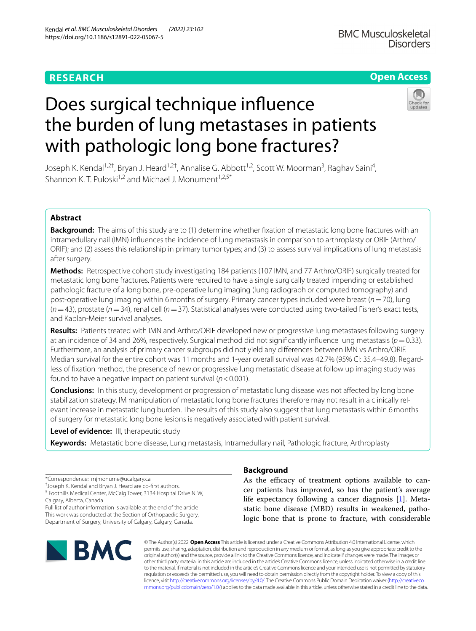# **RESEARCH**

# **Open Access**

# Does surgical technique infuence the burden of lung metastases in patients with pathologic long bone fractures?

Joseph K. Kendal<sup>1,2†</sup>, Bryan J. Heard<sup>1,2†</sup>, Annalise G. Abbott<sup>1,2</sup>, Scott W. Moorman<sup>3</sup>, Raghav Saini<sup>4</sup>, Shannon K. T. Puloski<sup>1,2</sup> and Michael J. Monument<sup>1,2,5\*</sup>

# **Abstract**

**Background:** The aims of this study are to (1) determine whether fxation of metastatic long bone fractures with an intramedullary nail (IMN) infuences the incidence of lung metastasis in comparison to arthroplasty or ORIF (Arthro/ ORIF); and (2) assess this relationship in primary tumor types; and (3) to assess survival implications of lung metastasis after surgery.

**Methods:** Retrospective cohort study investigating 184 patients (107 IMN, and 77 Arthro/ORIF) surgically treated for metastatic long bone fractures. Patients were required to have a single surgically treated impending or established pathologic fracture of a long bone, pre-operative lung imaging (lung radiograph or computed tomography) and post-operative lung imaging within 6months of surgery. Primary cancer types included were breast (*n*=70), lung  $(n=43)$ , prostate ( $n=34$ ), renal cell ( $n=37$ ). Statistical analyses were conducted using two-tailed Fisher's exact tests, and Kaplan-Meier survival analyses.

**Results:** Patients treated with IMN and Arthro/ORIF developed new or progressive lung metastases following surgery at an incidence of 34 and 26%, respectively. Surgical method did not significantly influence lung metastasis ( $p=0.33$ ). Furthermore, an analysis of primary cancer subgroups did not yield any diferences between IMN vs Arthro/ORIF. Median survival for the entire cohort was 11months and 1-year overall survival was 42.7% (95% CI: 35.4–49.8). Regardless of fxation method, the presence of new or progressive lung metastatic disease at follow up imaging study was found to have a negative impact on patient survival (*p*<0.001).

**Conclusions:** In this study, development or progression of metastatic lung disease was not afected by long bone stabilization strategy. IM manipulation of metastatic long bone fractures therefore may not result in a clinically relevant increase in metastatic lung burden. The results of this study also suggest that lung metastasis within 6months of surgery for metastatic long bone lesions is negatively associated with patient survival.

**Level of evidence:** III, therapeutic study

**Keywords:** Metastatic bone disease, Lung metastasis, Intramedullary nail, Pathologic fracture, Arthroplasty

\*Correspondence: mjmonume@ucalgary.ca

† Joseph K. Kendal and Bryan J. Heard are co-frst authors. <sup>5</sup> Foothills Medical Center, McCaig Tower, 3134 Hospital Drive N.W,

Calgary, Alberta, Canada

Full list of author information is available at the end of the article This work was conducted at the Section of Orthopaedic Surgery, Department of Surgery, University of Calgary, Calgary, Canada.



# **Background**

As the efficacy of treatment options available to cancer patients has improved, so has the patient's average life expectancy following a cancer diagnosis [\[1](#page-7-0)]. Metastatic bone disease (MBD) results in weakened, pathologic bone that is prone to fracture, with considerable

© The Author(s) 2022. **Open Access** This article is licensed under a Creative Commons Attribution 4.0 International License, which permits use, sharing, adaptation, distribution and reproduction in any medium or format, as long as you give appropriate credit to the original author(s) and the source, provide a link to the Creative Commons licence, and indicate if changes were made. The images or other third party material in this article are included in the article's Creative Commons licence, unless indicated otherwise in a credit line to the material. If material is not included in the article's Creative Commons licence and your intended use is not permitted by statutory regulation or exceeds the permitted use, you will need to obtain permission directly from the copyright holder. To view a copy of this licence, visit [http://creativecommons.org/licenses/by/4.0/.](http://creativecommons.org/licenses/by/4.0/) The Creative Commons Public Domain Dedication waiver ([http://creativeco](http://creativecommons.org/publicdomain/zero/1.0/) [mmons.org/publicdomain/zero/1.0/](http://creativecommons.org/publicdomain/zero/1.0/)) applies to the data made available in this article, unless otherwise stated in a credit line to the data.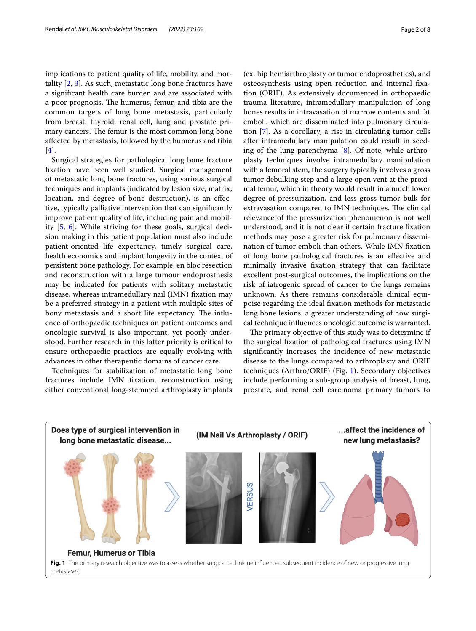implications to patient quality of life, mobility, and mortality [\[2](#page-7-1), [3](#page-7-2)]. As such, metastatic long bone fractures have a signifcant health care burden and are associated with a poor prognosis. The humerus, femur, and tibia are the common targets of long bone metastasis, particularly from breast, thyroid, renal cell, lung and prostate primary cancers. The femur is the most common long bone afected by metastasis, followed by the humerus and tibia [[4\]](#page-7-3).

Surgical strategies for pathological long bone fracture fxation have been well studied. Surgical management of metastatic long bone fractures, using various surgical techniques and implants (indicated by lesion size, matrix, location, and degree of bone destruction), is an effective, typically palliative intervention that can signifcantly improve patient quality of life, including pain and mobility [\[5](#page-7-4), [6\]](#page-7-5). While striving for these goals, surgical decision making in this patient population must also include patient-oriented life expectancy, timely surgical care, health economics and implant longevity in the context of persistent bone pathology. For example, en bloc resection and reconstruction with a large tumour endoprosthesis may be indicated for patients with solitary metastatic disease, whereas intramedullary nail (IMN) fxation may be a preferred strategy in a patient with multiple sites of bony metastasis and a short life expectancy. The influence of orthopaedic techniques on patient outcomes and oncologic survival is also important, yet poorly understood. Further research in this latter priority is critical to ensure orthopaedic practices are equally evolving with advances in other therapeutic domains of cancer care.

Techniques for stabilization of metastatic long bone fractures include IMN fxation, reconstruction using either conventional long-stemmed arthroplasty implants

(ex. hip hemiarthroplasty or tumor endoprosthetics), and osteosynthesis using open reduction and internal fxation (ORIF). As extensively documented in orthopaedic trauma literature, intramedullary manipulation of long bones results in intravasation of marrow contents and fat emboli, which are disseminated into pulmonary circulation [[7\]](#page-7-6). As a corollary, a rise in circulating tumor cells after intramedullary manipulation could result in seeding of the lung parenchyma [[8\]](#page-7-7). Of note, while arthroplasty techniques involve intramedullary manipulation with a femoral stem, the surgery typically involves a gross tumor debulking step and a large open vent at the proximal femur, which in theory would result in a much lower degree of pressurization, and less gross tumor bulk for extravasation compared to IMN techniques. The clinical relevance of the pressurization phenomenon is not well understood, and it is not clear if certain fracture fxation methods may pose a greater risk for pulmonary dissemination of tumor emboli than others. While IMN fxation of long bone pathological fractures is an efective and minimally invasive fxation strategy that can facilitate excellent post-surgical outcomes, the implications on the risk of iatrogenic spread of cancer to the lungs remains unknown. As there remains considerable clinical equipoise regarding the ideal fxation methods for metastatic long bone lesions, a greater understanding of how surgical technique infuences oncologic outcome is warranted.

The primary objective of this study was to determine if the surgical fxation of pathological fractures using IMN signifcantly increases the incidence of new metastatic disease to the lungs compared to arthroplasty and ORIF techniques (Arthro/ORIF) (Fig. [1\)](#page-1-0). Secondary objectives include performing a sub-group analysis of breast, lung, prostate, and renal cell carcinoma primary tumors to

<span id="page-1-0"></span>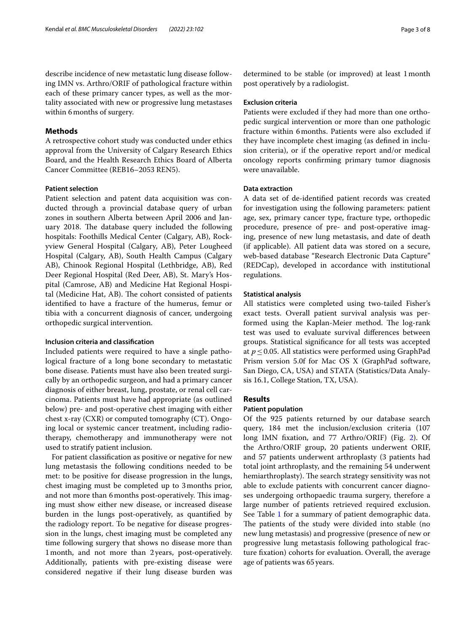describe incidence of new metastatic lung disease following IMN vs. Arthro/ORIF of pathological fracture within each of these primary cancer types, as well as the mortality associated with new or progressive lung metastases within 6months of surgery.

#### **Methods**

A retrospective cohort study was conducted under ethics approval from the University of Calgary Research Ethics Board, and the Health Research Ethics Board of Alberta Cancer Committee (REB16–2053 REN5).

#### **Patient selection**

Patient selection and patent data acquisition was conducted through a provincial database query of urban zones in southern Alberta between April 2006 and January 2018. The database query included the following hospitals: Foothills Medical Center (Calgary, AB), Rockyview General Hospital (Calgary, AB), Peter Lougheed Hospital (Calgary, AB), South Health Campus (Calgary AB), Chinook Regional Hospital (Lethbridge, AB), Red Deer Regional Hospital (Red Deer, AB), St. Mary's Hospital (Camrose, AB) and Medicine Hat Regional Hospital (Medicine Hat, AB). The cohort consisted of patients identifed to have a fracture of the humerus, femur or tibia with a concurrent diagnosis of cancer, undergoing orthopedic surgical intervention.

#### **Inclusion criteria and classifcation**

Included patients were required to have a single pathological fracture of a long bone secondary to metastatic bone disease. Patients must have also been treated surgically by an orthopedic surgeon, and had a primary cancer diagnosis of either breast, lung, prostate, or renal cell carcinoma. Patients must have had appropriate (as outlined below) pre- and post-operative chest imaging with either chest x-ray (CXR) or computed tomography (CT). Ongoing local or systemic cancer treatment, including radiotherapy, chemotherapy and immunotherapy were not used to stratify patient inclusion.

For patient classifcation as positive or negative for new lung metastasis the following conditions needed to be met: to be positive for disease progression in the lungs, chest imaging must be completed up to 3months prior, and not more than 6 months post-operatively. This imaging must show either new disease, or increased disease burden in the lungs post-operatively, as quantifed by the radiology report. To be negative for disease progression in the lungs, chest imaging must be completed any time following surgery that shows no disease more than 1month, and not more than 2 years, post-operatively. Additionally, patients with pre-existing disease were considered negative if their lung disease burden was determined to be stable (or improved) at least 1month post operatively by a radiologist.

#### **Exclusion criteria**

Patients were excluded if they had more than one orthopedic surgical intervention or more than one pathologic fracture within 6months. Patients were also excluded if they have incomplete chest imaging (as defned in inclusion criteria), or if the operative report and/or medical oncology reports confrming primary tumor diagnosis were unavailable.

#### **Data extraction**

A data set of de-identifed patient records was created for investigation using the following parameters: patient age, sex, primary cancer type, fracture type, orthopedic procedure, presence of pre- and post-operative imaging, presence of new lung metastasis, and date of death (if applicable). All patient data was stored on a secure, web-based database "Research Electronic Data Capture" (REDCap), developed in accordance with institutional regulations.

#### **Statistical analysis**

All statistics were completed using two-tailed Fisher's exact tests. Overall patient survival analysis was performed using the Kaplan-Meier method. The log-rank test was used to evaluate survival diferences between groups. Statistical signifcance for all tests was accepted at *p*≤0.05. All statistics were performed using GraphPad Prism version 5.0f for Mac OS X (GraphPad software, San Diego, CA, USA) and STATA (Statistics/Data Analysis 16.1, College Station, TX, USA).

#### **Results**

#### **Patient population**

Of the 925 patients returned by our database search query, 184 met the inclusion/exclusion criteria (107 long IMN fxation, and 77 Arthro/ORIF) (Fig. [2](#page-3-0)). Of the Arthro/ORIF group, 20 patients underwent ORIF, and 57 patients underwent arthroplasty (3 patients had total joint arthroplasty, and the remaining 54 underwent hemiarthroplasty). The search strategy sensitivity was not able to exclude patients with concurrent cancer diagnoses undergoing orthopaedic trauma surgery, therefore a large number of patients retrieved required exclusion. See Table [1](#page-4-0) for a summary of patient demographic data. The patients of the study were divided into stable (no new lung metastasis) and progressive (presence of new or progressive lung metastasis following pathological fracture fxation) cohorts for evaluation. Overall, the average age of patients was 65years.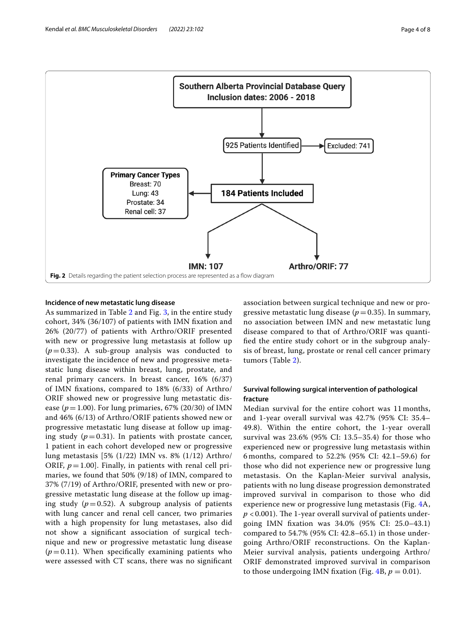

#### <span id="page-3-0"></span>**Incidence of new metastatic lung disease**

As summarized in Table [2](#page-4-1) and Fig. [3](#page-5-0), in the entire study cohort, 34% (36/107) of patients with IMN fxation and 26% (20/77) of patients with Arthro/ORIF presented with new or progressive lung metastasis at follow up  $(p=0.33)$ . A sub-group analysis was conducted to investigate the incidence of new and progressive metastatic lung disease within breast, lung, prostate, and renal primary cancers. In breast cancer, 16% (6/37) of IMN fxations, compared to 18% (6/33) of Arthro/ ORIF showed new or progressive lung metastatic disease ( $p = 1.00$ ). For lung primaries, 67% (20/30) of IMN and 46% (6/13) of Arthro/ORIF patients showed new or progressive metastatic lung disease at follow up imaging study  $(p=0.31)$ . In patients with prostate cancer, 1 patient in each cohort developed new or progressive lung metastasis [5% (1/22) IMN vs. 8% (1/12) Arthro/ ORIF,  $p=1.00$ ]. Finally, in patients with renal cell primaries, we found that 50% (9/18) of IMN, compared to 37% (7/19) of Arthro/ORIF, presented with new or progressive metastatic lung disease at the follow up imaging study  $(p=0.52)$ . A subgroup analysis of patients with lung cancer and renal cell cancer, two primaries with a high propensity for lung metastases, also did not show a signifcant association of surgical technique and new or progressive metastatic lung disease  $(p=0.11)$ . When specifically examining patients who were assessed with CT scans, there was no signifcant association between surgical technique and new or progressive metastatic lung disease ( $p=0.35$ ). In summary, no association between IMN and new metastatic lung disease compared to that of Arthro/ORIF was quantifed the entire study cohort or in the subgroup analysis of breast, lung, prostate or renal cell cancer primary tumors (Table [2](#page-4-1)).

### **Survival following surgical intervention of pathological fracture**

Median survival for the entire cohort was 11 months, and 1-year overall survival was 42.7% (95% CI: 35.4– 49.8). Within the entire cohort, the 1-year overall survival was 23.6% (95% CI: 13.5–35.4) for those who experienced new or progressive lung metastasis within 6 months, compared to 52.2% (95% CI: 42.1–59.6) for those who did not experience new or progressive lung metastasis. On the Kaplan-Meier survival analysis, patients with no lung disease progression demonstrated improved survival in comparison to those who did experience new or progressive lung metastasis (Fig. [4A](#page-5-1),  $p$  < 0.001). The 1-year overall survival of patients undergoing IMN fxation was 34.0% (95% CI: 25.0–43.1) compared to 54.7% (95% CI: 42.8–65.1) in those undergoing Arthro/ORIF reconstructions. On the Kaplan-Meier survival analysis, patients undergoing Arthro/ ORIF demonstrated improved survival in comparison to those undergoing IMN fixation (Fig.  $4B$ ,  $p = 0.01$ ).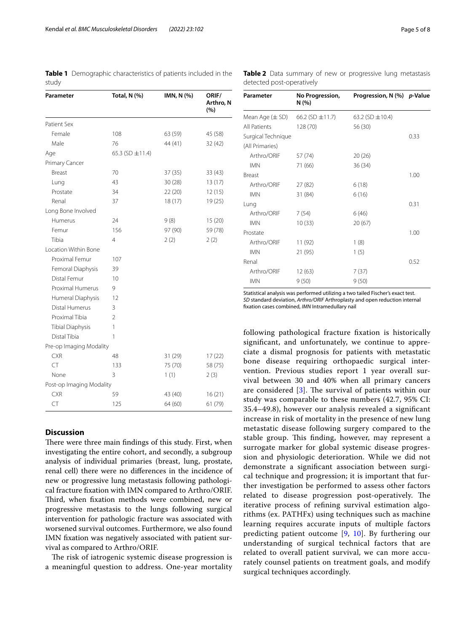<span id="page-4-0"></span>**Table 1** Demographic characteristics of patients included in the study

| Parameter                | Total, N (%)         | IMN, N (%) | ORIF/<br>Arthro, N<br>(%) |
|--------------------------|----------------------|------------|---------------------------|
| Patient Sex              |                      |            |                           |
| Female                   | 108                  | 63 (59)    | 45 (58)                   |
| Male                     | 76                   | 44 (41)    | 32(42)                    |
| Age                      | 65.3 (SD $\pm$ 11.4) |            |                           |
| Primary Cancer           |                      |            |                           |
| Breast                   | 70                   | 37(35)     | 33 (43)                   |
| Lung                     | 43                   | 30(28)     | 13(17)                    |
| Prostate                 | 34                   | 22(20)     | 12(15)                    |
| Renal                    | 37                   | 18(17)     | 19(25)                    |
| Long Bone Involved       |                      |            |                           |
| Humerus                  | 24                   | 9(8)       | 15(20)                    |
| Femur                    | 156                  | 97 (90)    | 59 (78)                   |
| Tibia                    | 4                    | 2(2)       | 2(2)                      |
| Location Within Bone     |                      |            |                           |
| Proximal Femur           | 107                  |            |                           |
| Femoral Diaphysis        | 39                   |            |                           |
| Distal Femur             | 10                   |            |                           |
| Proximal Humerus         | 9                    |            |                           |
| Humeral Diaphysis        | 12                   |            |                           |
| Distal Humerus           | 3                    |            |                           |
| Proximal Tibia           | $\mathcal{P}$        |            |                           |
| <b>Tibial Diaphysis</b>  | 1                    |            |                           |
| Distal Tibia             | 1                    |            |                           |
| Pre-op Imaging Modality  |                      |            |                           |
| <b>CXR</b>               | 48                   | 31 (29)    | 17(22)                    |
| <b>CT</b>                | 133                  | 75 (70)    | 58 (75)                   |
| None                     | 3                    | 1(1)       | 2(3)                      |
| Post-op Imaging Modality |                      |            |                           |
| <b>CXR</b>               | 59                   | 43 (40)    | 16(21)                    |
| <b>CT</b>                | 125                  | 64 (60)    | 61 (79)                   |

#### **Discussion**

There were three main findings of this study. First, when investigating the entire cohort, and secondly, a subgroup analysis of individual primaries (breast, lung, prostate, renal cell) there were no diferences in the incidence of new or progressive lung metastasis following pathological fracture fxation with IMN compared to Arthro/ORIF. Third, when fixation methods were combined, new or progressive metastasis to the lungs following surgical intervention for pathologic fracture was associated with worsened survival outcomes. Furthermore, we also found IMN fxation was negatively associated with patient survival as compared to Arthro/ORIF.

The risk of iatrogenic systemic disease progression is a meaningful question to address. One-year mortality

<span id="page-4-1"></span>**Table 2** Data summary of new or progressive lung metastasis detected post-operatively

| Parameter          | No Progression,<br>N(%) | Progression, N (%) p-Value |      |
|--------------------|-------------------------|----------------------------|------|
| Mean Age (± SD)    | 66.2 (SD $\pm$ 11.7)    | 63.2 (SD $\pm$ 10.4)       |      |
| All Patients       | 128 (70)                | 56 (30)                    |      |
| Surgical Technique |                         |                            | 0.33 |
| (All Primaries)    |                         |                            |      |
| Arthro/ORIF        | 57 (74)                 | 20(26)                     |      |
| <b>IMN</b>         | 71 (66)                 | 36 (34)                    |      |
| <b>Breast</b>      |                         |                            | 1.00 |
| Arthro/ORIF        | 27 (82)                 | 6(18)                      |      |
| <b>IMN</b>         | 31 (84)                 | 6(16)                      |      |
| Lung               |                         |                            | 0.31 |
| Arthro/ORIF        | 7(54)                   | 6(46)                      |      |
| <b>IMN</b>         | 10(33)                  | 20(67)                     |      |
| Prostate           |                         |                            | 1.00 |
| Arthro/ORIF        | 11 (92)                 | 1(8)                       |      |
| <b>IMN</b>         | 21 (95)                 | 1(5)                       |      |
| Renal              |                         |                            | 0.52 |
| Arthro/ORIF        | 12(63)                  | 7(37)                      |      |
| <b>IMN</b>         | 9(50)                   | 9(50)                      |      |

Statistical analysis was performed utilizing a two tailed Fischer's exact test. *SD* standard deviation, *Arthro/ORIF* Arthroplasty and open reduction internal fxation cases combined, *IMN* Intramedullary nail

following pathological fracture fxation is historically signifcant, and unfortunately, we continue to appreciate a dismal prognosis for patients with metastatic bone disease requiring orthopaedic surgical intervention. Previous studies report 1 year overall survival between 30 and 40% when all primary cancers are considered  $[3]$  $[3]$ . The survival of patients within our study was comparable to these numbers (42.7, 95% CI: 35.4–49.8), however our analysis revealed a signifcant increase in risk of mortality in the presence of new lung metastatic disease following surgery compared to the stable group. This finding, however, may represent a surrogate marker for global systemic disease progression and physiologic deterioration. While we did not demonstrate a signifcant association between surgical technique and progression; it is important that further investigation be performed to assess other factors related to disease progression post-operatively. The iterative process of refning survival estimation algorithms (ex. PATHFx) using techniques such as machine learning requires accurate inputs of multiple factors predicting patient outcome [\[9](#page-7-8), [10\]](#page-7-9). By furthering our understanding of surgical technical factors that are related to overall patient survival, we can more accurately counsel patients on treatment goals, and modify surgical techniques accordingly.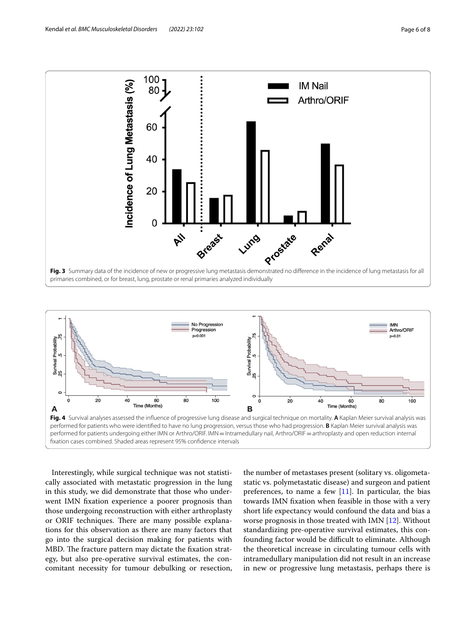

<span id="page-5-0"></span>

<span id="page-5-1"></span>Interestingly, while surgical technique was not statistically associated with metastatic progression in the lung in this study, we did demonstrate that those who underwent IMN fxation experience a poorer prognosis than those undergoing reconstruction with either arthroplasty or ORIF techniques. There are many possible explanations for this observation as there are many factors that go into the surgical decision making for patients with MBD. The fracture pattern may dictate the fixation strategy, but also pre-operative survival estimates, the concomitant necessity for tumour debulking or resection,

the number of metastases present (solitary vs. oligometastatic vs. polymetastatic disease) and surgeon and patient preferences, to name a few  $[11]$  $[11]$ . In particular, the bias towards IMN fxation when feasible in those with a very short life expectancy would confound the data and bias a worse prognosis in those treated with IMN [\[12](#page-7-11)]. Without standardizing pre-operative survival estimates, this confounding factor would be difficult to eliminate. Although the theoretical increase in circulating tumour cells with intramedullary manipulation did not result in an increase in new or progressive lung metastasis, perhaps there is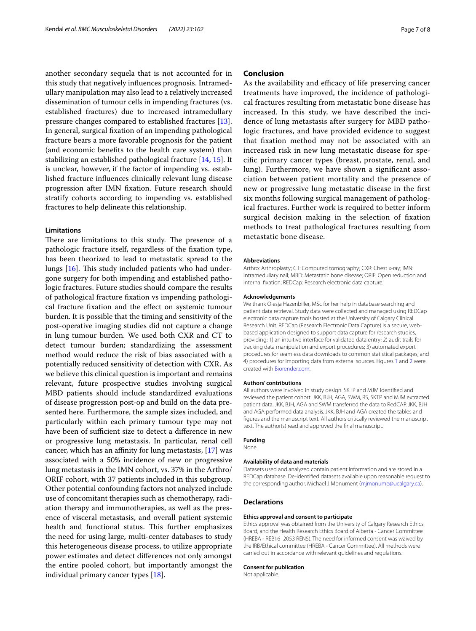another secondary sequela that is not accounted for in this study that negatively infuences prognosis. Intramedullary manipulation may also lead to a relatively increased dissemination of tumour cells in impending fractures (vs. established fractures) due to increased intramedullary pressure changes compared to established fractures [\[13](#page-7-12)]. In general, surgical fxation of an impending pathological fracture bears a more favorable prognosis for the patient (and economic benefts to the health care system) than stabilizing an established pathological fracture [[14,](#page-7-13) [15](#page-7-14)]. It is unclear, however, if the factor of impending vs. established fracture infuences clinically relevant lung disease progression after IMN fxation. Future research should stratify cohorts according to impending vs. established fractures to help delineate this relationship.

#### **Limitations**

There are limitations to this study. The presence of a pathologic fracture itself, regardless of the fxation type, has been theorized to lead to metastatic spread to the lungs  $[16]$ . This study included patients who had undergone surgery for both impending and established pathologic fractures. Future studies should compare the results of pathological fracture fxation vs impending pathological fracture fxation and the efect on systemic tumour burden. It is possible that the timing and sensitivity of the post-operative imaging studies did not capture a change in lung tumour burden. We used both CXR and CT to detect tumour burden; standardizing the assessment method would reduce the risk of bias associated with a potentially reduced sensitivity of detection with CXR. As we believe this clinical question is important and remains relevant, future prospective studies involving surgical MBD patients should include standardized evaluations of disease progression post-op and build on the data presented here. Furthermore, the sample sizes included, and particularly within each primary tumour type may not have been of sufficient size to detect a difference in new or progressive lung metastasis. In particular, renal cell cancer, which has an affinity for lung metastasis,  $[17]$  $[17]$  was associated with a 50% incidence of new or progressive lung metastasis in the IMN cohort, vs. 37% in the Arthro/ ORIF cohort, with 37 patients included in this subgroup. Other potential confounding factors not analyzed include use of concomitant therapies such as chemotherapy, radiation therapy and immunotherapies, as well as the presence of visceral metastasis, and overall patient systemic health and functional status. This further emphasizes the need for using large, multi-center databases to study this heterogeneous disease process, to utilize appropriate power estimates and detect diferences not only amongst the entire pooled cohort, but importantly amongst the individual primary cancer types [[18](#page-7-17)].

#### **Conclusion**

As the availability and efficacy of life preserving cancer treatments have improved, the incidence of pathological fractures resulting from metastatic bone disease has increased. In this study, we have described the incidence of lung metastasis after surgery for MBD pathologic fractures, and have provided evidence to suggest that fxation method may not be associated with an increased risk in new lung metastatic disease for specifc primary cancer types (breast, prostate, renal, and lung). Furthermore, we have shown a signifcant association between patient mortality and the presence of new or progressive lung metastatic disease in the frst six months following surgical management of pathological fractures. Further work is required to better inform surgical decision making in the selection of fxation methods to treat pathological fractures resulting from metastatic bone disease.

#### **Abbreviations**

Arthro: Arthroplasty; CT: Computed tomography; CXR: Chest x-ray; IMN: Intramedullary nail; MBD: Metastatic bone disease; ORIF: Open reduction and internal fxation; REDCap: Research electronic data capture.

#### **Acknowledgements**

We thank Olesja Hazenbiller, MSc for her help in database searching and patient data retrieval. Study data were collected and managed using REDCap electronic data capture tools hosted at the University of Calgary Clinical Research Unit. REDCap (Research Electronic Data Capture) is a secure, webbased application designed to support data capture for research studies, providing: 1) an intuitive interface for validated data entry; 2) audit trails for tracking data manipulation and export procedures; 3) automated export procedures for seamless data downloads to common statistical packages; and 4) procedures for importing data from external sources. Figures [1](#page-1-0) and [2](#page-3-0) were created with [Biorender.com](http://biorender.com).

#### **Authors' contributions**

All authors were involved in study design. SKTP and MJM identifed and reviewed the patient cohort. JKK, BJH, AGA, SWM, RS, SKTP and MJM extracted patient data. JKK, BJH, AGA and SWM transferred the data to RedCAP. JKK, BJH and AGA performed data analysis. JKK, BJH and AGA created the tables and fgures and the manuscript text. All authors critically reviewed the manuscript text. The author(s) read and approved the fnal manuscript.

#### **Funding**

None.

#### **Availability of data and materials**

Datasets used and analyzed contain patient information and are stored in a REDCap database. De-identifed datasets available upon reasonable request to the corresponding author, Michael J Monument ([mjmonume@ucalgary.ca\)](mjmonume@ucalgary.ca).

#### **Declarations**

#### **Ethics approval and consent to participate**

Ethics approval was obtained from the University of Calgary Research Ethics Board, and the Health Research Ethics Board of Alberta - Cancer Committee (HREBA - REB16–2053 REN5). The need for informed consent was waived by the IRB/Ethical committee (HREBA - Cancer Committee). All methods were carried out in accordance with relevant guidelines and regulations.

#### **Consent for publication**

Not applicable.